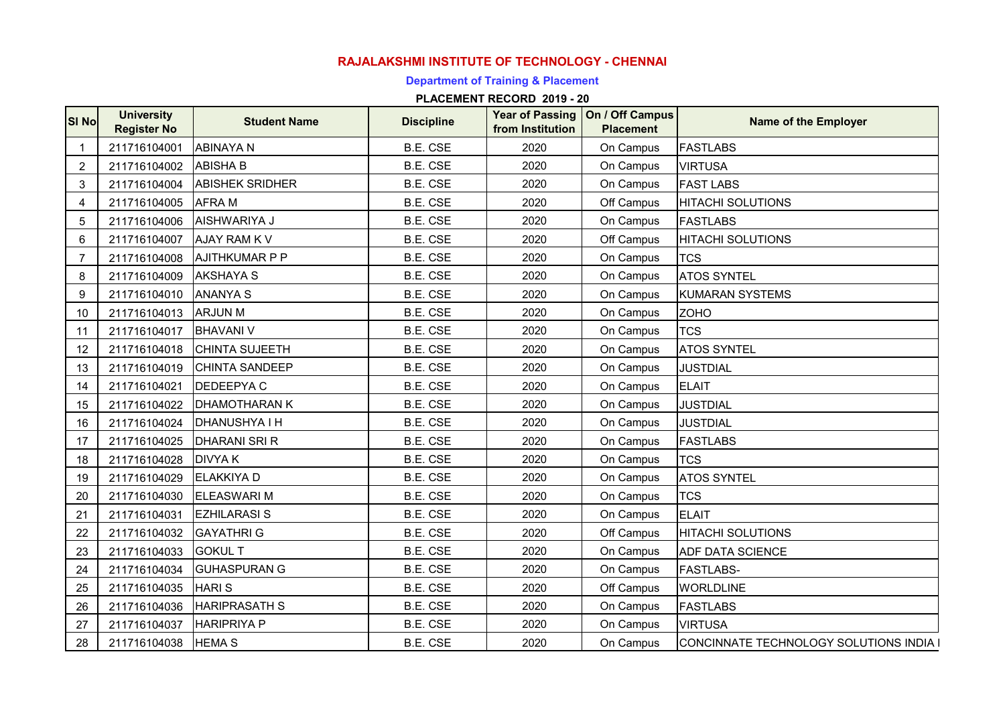# **RAJALAKSHMI INSTITUTE OF TECHNOLOGY - CHENNAI**

## **Department of Training & Placement**

| <b>SI Nol</b>    | <b>University</b><br><b>Register No</b> | <b>Student Name</b>    | <b>Discipline</b> | from Institution | Year of Passing   On / Off Campus<br><b>Placement</b> | <b>Name of the Employer</b>             |
|------------------|-----------------------------------------|------------------------|-------------------|------------------|-------------------------------------------------------|-----------------------------------------|
| -1               | 211716104001                            | <b>ABINAYA N</b>       | B.E. CSE          | 2020             | On Campus                                             | <b>FASTLABS</b>                         |
| 2                | 211716104002                            | <b>ABISHA B</b>        | B.E. CSE          | 2020             | On Campus                                             | <b>VIRTUSA</b>                          |
| 3                | 211716104004                            | <b>ABISHEK SRIDHER</b> | B.E. CSE          | 2020             | On Campus                                             | <b>FAST LABS</b>                        |
| $\overline{4}$   | 211716104005                            | <b>AFRAM</b>           | B.E. CSE          | 2020             | Off Campus                                            | <b>HITACHI SOLUTIONS</b>                |
| 5                | 211716104006                            | AISHWARIYA J           | B.E. CSE          | 2020             | On Campus                                             | <b>FASTLABS</b>                         |
| 6                | 211716104007                            | <b>AJAY RAM KV</b>     | B.E. CSE          | 2020             | Off Campus                                            | <b>HITACHI SOLUTIONS</b>                |
| $\overline{7}$   | 211716104008                            | <b>AJITHKUMAR P P</b>  | B.E. CSE          | 2020             | On Campus                                             | <b>TCS</b>                              |
| 8                | 211716104009                            | <b>AKSHAYA S</b>       | B.E. CSE          | 2020             | On Campus                                             | <b>ATOS SYNTEL</b>                      |
| $\boldsymbol{9}$ | 211716104010                            | <b>ANANYA S</b>        | B.E. CSE          | 2020             | On Campus                                             | <b>KUMARAN SYSTEMS</b>                  |
| 10               | 211716104013                            | <b>ARJUN M</b>         | B.E. CSE          | 2020             | On Campus                                             | <b>ZOHO</b>                             |
| 11               | 211716104017                            | <b>BHAVANI V</b>       | B.E. CSE          | 2020             | On Campus                                             | <b>TCS</b>                              |
| 12               | 211716104018                            | <b>CHINTA SUJEETH</b>  | B.E. CSE          | 2020             | On Campus                                             | <b>ATOS SYNTEL</b>                      |
| 13               | 211716104019                            | <b>CHINTA SANDEEP</b>  | B.E. CSE          | 2020             | On Campus                                             | <b>JUSTDIAL</b>                         |
| 14               | 211716104021                            | <b>DEDEEPYAC</b>       | B.E. CSE          | 2020             | On Campus                                             | <b>ELAIT</b>                            |
| 15               | 211716104022                            | <b>DHAMOTHARAN K</b>   | B.E. CSE          | 2020             | On Campus                                             | <b>JUSTDIAL</b>                         |
| 16               | 211716104024                            | <b>DHANUSHYA I H</b>   | B.E. CSE          | 2020             | On Campus                                             | <b>JUSTDIAL</b>                         |
| 17               | 211716104025                            | <b>DHARANI SRI R</b>   | <b>B.E. CSE</b>   | 2020             | On Campus                                             | <b>FASTLABS</b>                         |
| 18               | 211716104028                            | <b>DIVYAK</b>          | B.E. CSE          | 2020             | On Campus                                             | <b>TCS</b>                              |
| 19               | 211716104029                            | <b>ELAKKIYA D</b>      | B.E. CSE          | 2020             | On Campus                                             | <b>ATOS SYNTEL</b>                      |
| 20               | 211716104030                            | <b>ELEASWARI M</b>     | B.E. CSE          | 2020             | On Campus                                             | <b>TCS</b>                              |
| 21               | 211716104031                            | <b>EZHILARASI S</b>    | B.E. CSE          | 2020             | On Campus                                             | <b>ELAIT</b>                            |
| 22               | 211716104032                            | <b>GAYATHRI G</b>      | B.E. CSE          | 2020             | Off Campus                                            | <b>HITACHI SOLUTIONS</b>                |
| 23               | 211716104033                            | <b>GOKUL T</b>         | B.E. CSE          | 2020             | On Campus                                             | <b>ADF DATA SCIENCE</b>                 |
| 24               | 211716104034                            | <b>GUHASPURAN G</b>    | B.E. CSE          | 2020             | On Campus                                             | <b>FASTLABS-</b>                        |
| 25               | 211716104035                            | <b>HARIS</b>           | B.E. CSE          | 2020             | Off Campus                                            | <b>WORLDLINE</b>                        |
| 26               | 211716104036                            | <b>HARIPRASATH S</b>   | B.E. CSE          | 2020             | On Campus                                             | <b>FASTLABS</b>                         |
| 27               | 211716104037                            | <b>HARIPRIYA P</b>     | B.E. CSE          | 2020             | On Campus                                             | <b>VIRTUSA</b>                          |
| 28               | 211716104038 HEMA S                     |                        | B.E. CSE          | 2020             | On Campus                                             | CONCINNATE TECHNOLOGY SOLUTIONS INDIA I |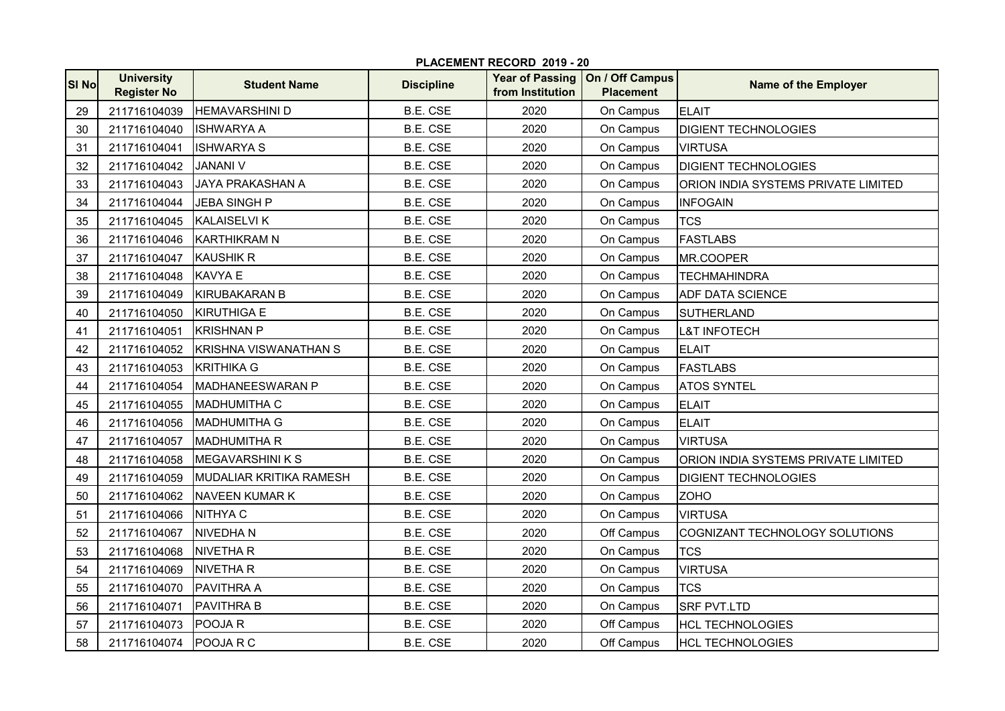| <b>SI No</b> | <b>University</b><br><b>Register No</b> | <b>Student Name</b>          | <b>Discipline</b> | from Institution | Year of Passing   On / Off Campus<br><b>Placement</b> | <b>Name of the Employer</b>                |
|--------------|-----------------------------------------|------------------------------|-------------------|------------------|-------------------------------------------------------|--------------------------------------------|
| 29           | 211716104039                            | <b>HEMAVARSHINI D</b>        | <b>B.E. CSE</b>   | 2020             | On Campus                                             | <b>ELAIT</b>                               |
| 30           | 211716104040                            | <b>ISHWARYA A</b>            | B.E. CSE          | 2020             | On Campus                                             | <b>DIGIENT TECHNOLOGIES</b>                |
| 31           | 211716104041                            | <b>ISHWARYA S</b>            | <b>B.E. CSE</b>   | 2020             | On Campus                                             | <b>VIRTUSA</b>                             |
| 32           | 211716104042                            | <b>JANANI V</b>              | <b>B.E. CSE</b>   | 2020             | On Campus                                             | <b>DIGIENT TECHNOLOGIES</b>                |
| 33           | 211716104043                            | <b>JAYA PRAKASHAN A</b>      | <b>B.E. CSE</b>   | 2020             | On Campus                                             | ORION INDIA SYSTEMS PRIVATE LIMITED        |
| 34           | 211716104044                            | <b>JEBA SINGH P</b>          | <b>B.E. CSE</b>   | 2020             | On Campus                                             | <b>INFOGAIN</b>                            |
| 35           | 211716104045                            | <b>KALAISELVI K</b>          | <b>B.E. CSE</b>   | 2020             | On Campus                                             | <b>TCS</b>                                 |
| 36           | 211716104046                            | <b>KARTHIKRAM N</b>          | <b>B.E. CSE</b>   | 2020             | On Campus                                             | <b>FASTLABS</b>                            |
| 37           | 211716104047                            | <b>KAUSHIK R</b>             | <b>B.E. CSE</b>   | 2020             | On Campus                                             | MR.COOPER                                  |
| 38           | 211716104048                            | <b>KAVYA E</b>               | <b>B.E. CSE</b>   | 2020             | On Campus                                             | <b>TECHMAHINDRA</b>                        |
| 39           | 211716104049                            | <b>KIRUBAKARAN B</b>         | <b>B.E. CSE</b>   | 2020             | On Campus                                             | <b>ADF DATA SCIENCE</b>                    |
| 40           | 211716104050                            | KIRUTHIGA E                  | <b>B.E. CSE</b>   | 2020             | On Campus                                             | <b>SUTHERLAND</b>                          |
| 41           | 211716104051                            | <b>KRISHNAN P</b>            | B.E. CSE          | 2020             | On Campus                                             | <b>L&amp;T INFOTECH</b>                    |
| 42           | 211716104052                            | <b>KRISHNA VISWANATHAN S</b> | <b>B.E. CSE</b>   | 2020             | On Campus                                             | <b>ELAIT</b>                               |
| 43           | 211716104053                            | <b>KRITHIKA G</b>            | <b>B.E. CSE</b>   | 2020             | On Campus                                             | <b>FASTLABS</b>                            |
| 44           | 211716104054                            | MADHANEESWARAN P             | <b>B.E. CSE</b>   | 2020             | On Campus                                             | <b>ATOS SYNTEL</b>                         |
| 45           | 211716104055                            | <b>MADHUMITHA C</b>          | B.E. CSE          | 2020             | On Campus                                             | <b>ELAIT</b>                               |
| 46           | 211716104056                            | <b>MADHUMITHA G</b>          | <b>B.E. CSE</b>   | 2020             | On Campus                                             | <b>ELAIT</b>                               |
| 47           | 211716104057                            | <b>MADHUMITHA R</b>          | <b>B.E. CSE</b>   | 2020             | On Campus                                             | <b>VIRTUSA</b>                             |
| 48           | 211716104058                            | <b>MEGAVARSHINI K S</b>      | B.E. CSE          | 2020             | On Campus                                             | <b>ORION INDIA SYSTEMS PRIVATE LIMITED</b> |
| 49           | 211716104059                            | MUDALIAR KRITIKA RAMESH      | <b>B.E. CSE</b>   | 2020             | On Campus                                             | <b>DIGIENT TECHNOLOGIES</b>                |
| 50           | 211716104062                            | NAVEEN KUMAR K               | B.E. CSE          | 2020             | On Campus                                             | <b>ZOHO</b>                                |
| 51           | 211716104066                            | <b>NITHYA C</b>              | <b>B.E. CSE</b>   | 2020             | On Campus                                             | <b>VIRTUSA</b>                             |
| 52           | 211716104067                            | <b>NIVEDHAN</b>              | <b>B.E. CSE</b>   | 2020             | Off Campus                                            | COGNIZANT TECHNOLOGY SOLUTIONS             |
| 53           | 211716104068                            | <b>NIVETHAR</b>              | <b>B.E. CSE</b>   | 2020             | On Campus                                             | <b>TCS</b>                                 |
| 54           | 211716104069                            | <b>NIVETHAR</b>              | <b>B.E. CSE</b>   | 2020             | On Campus                                             | <b>VIRTUSA</b>                             |
| 55           | 211716104070                            | <b>PAVITHRA A</b>            | <b>B.E. CSE</b>   | 2020             | On Campus                                             | <b>TCS</b>                                 |
| 56           | 211716104071                            | <b>PAVITHRA B</b>            | B.E. CSE          | 2020             | On Campus                                             | <b>SRF PVT.LTD</b>                         |
| 57           | 211716104073                            | POOJA R                      | B.E. CSE          | 2020             | Off Campus                                            | <b>HCL TECHNOLOGIES</b>                    |
| 58           | 211716104074                            | <b>POOJARC</b>               | <b>B.E. CSE</b>   | 2020             | Off Campus                                            | <b>HCL TECHNOLOGIES</b>                    |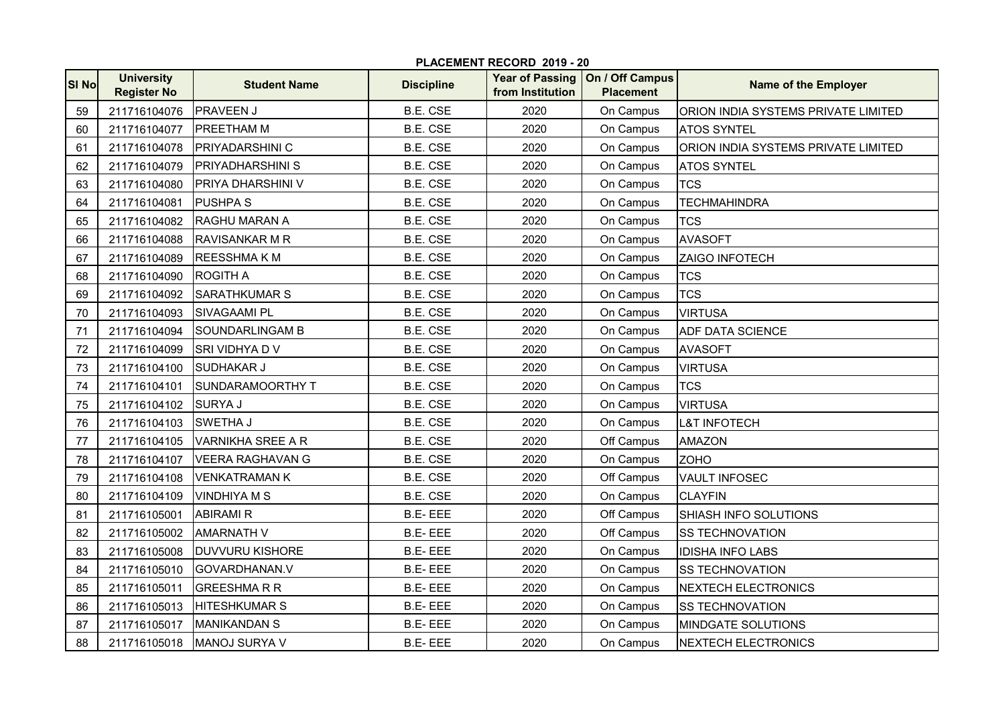|              | PLACEMENT RECORD 2019 - 20              |                          |                   |                  |                                                       |                                     |  |  |
|--------------|-----------------------------------------|--------------------------|-------------------|------------------|-------------------------------------------------------|-------------------------------------|--|--|
| <b>SI No</b> | <b>University</b><br><b>Register No</b> | <b>Student Name</b>      | <b>Discipline</b> | from Institution | Year of Passing   On / Off Campus<br><b>Placement</b> | Name of the Employer                |  |  |
| 59           | 211716104076                            | <b>PRAVEEN J</b>         | <b>B.E. CSE</b>   | 2020             | On Campus                                             | ORION INDIA SYSTEMS PRIVATE LIMITED |  |  |
| 60           | 211716104077                            | <b>PREETHAM M</b>        | B.E. CSE          | 2020             | On Campus                                             | <b>ATOS SYNTEL</b>                  |  |  |
| 61           | 211716104078                            | <b>PRIYADARSHINI C</b>   | B.E. CSE          | 2020             | On Campus                                             | ORION INDIA SYSTEMS PRIVATE LIMITED |  |  |
| 62           | 211716104079                            | <b>PRIYADHARSHINI S</b>  | B.E. CSE          | 2020             | On Campus                                             | <b>ATOS SYNTEL</b>                  |  |  |
| 63           | 211716104080                            | <b>PRIYA DHARSHINI V</b> | <b>B.E. CSE</b>   | 2020             | On Campus                                             | <b>TCS</b>                          |  |  |
| 64           | 211716104081                            | <b>PUSHPA S</b>          | <b>B.E. CSE</b>   | 2020             | On Campus                                             | <b>TECHMAHINDRA</b>                 |  |  |
| 65           | 211716104082                            | <b>RAGHU MARAN A</b>     | <b>B.E. CSE</b>   | 2020             | On Campus                                             | <b>TCS</b>                          |  |  |
| 66           | 211716104088                            | <b>RAVISANKAR M R</b>    | <b>B.E. CSE</b>   | 2020             | On Campus                                             | <b>AVASOFT</b>                      |  |  |
| 67           | 211716104089                            | <b>REESSHMAKM</b>        | <b>B.E. CSE</b>   | 2020             | On Campus                                             | ZAIGO INFOTECH                      |  |  |
| 68           | 211716104090                            | <b>ROGITH A</b>          | B.E. CSE          | 2020             | On Campus                                             | <b>TCS</b>                          |  |  |
| 69           | 211716104092                            | <b>SARATHKUMAR S</b>     | B.E. CSE          | 2020             | On Campus                                             | <b>TCS</b>                          |  |  |
| 70           | 211716104093                            | <b>SIVAGAAMI PL</b>      | <b>B.E. CSE</b>   | 2020             | On Campus                                             | <b>VIRTUSA</b>                      |  |  |
| 71           | 211716104094                            | <b>SOUNDARLINGAM B</b>   | <b>B.E. CSE</b>   | 2020             | On Campus                                             | <b>ADF DATA SCIENCE</b>             |  |  |
| 72           | 211716104099                            | SRI VIDHYA D V           | <b>B.E. CSE</b>   | 2020             | On Campus                                             | <b>AVASOFT</b>                      |  |  |
| 73           | 211716104100                            | <b>SUDHAKAR J</b>        | B.E. CSE          | 2020             | On Campus                                             | <b>VIRTUSA</b>                      |  |  |
| 74           | 211716104101                            | <b>SUNDARAMOORTHY T</b>  | <b>B.E. CSE</b>   | 2020             | On Campus                                             | <b>TCS</b>                          |  |  |
| 75           | 211716104102                            | <b>SURYA J</b>           | B.E. CSE          | 2020             | On Campus                                             | <b>VIRTUSA</b>                      |  |  |
| 76           | 211716104103                            | SWETHA J                 | <b>B.E. CSE</b>   | 2020             | On Campus                                             | <b>L&amp;T INFOTECH</b>             |  |  |
| 77           | 211716104105                            | <b>VARNIKHA SREE A R</b> | <b>B.E. CSE</b>   | 2020             | Off Campus                                            | <b>AMAZON</b>                       |  |  |
| 78           | 211716104107                            | <b>VEERA RAGHAVAN G</b>  | <b>B.E. CSE</b>   | 2020             | On Campus                                             | <b>ZOHO</b>                         |  |  |
| 79           | 211716104108                            | <b>VENKATRAMAN K</b>     | B.E. CSE          | 2020             | Off Campus                                            | <b>VAULT INFOSEC</b>                |  |  |
| 80           | 211716104109                            | <b>VINDHIYA M S</b>      | <b>B.E. CSE</b>   | 2020             | On Campus                                             | <b>CLAYFIN</b>                      |  |  |
| 81           | 211716105001                            | <b>ABIRAMI R</b>         | <b>B.E-EEE</b>    | 2020             | Off Campus                                            | SHIASH INFO SOLUTIONS               |  |  |
| 82           | 211716105002                            | <b>AMARNATH V</b>        | <b>B.E-EEE</b>    | 2020             | Off Campus                                            | <b>SS TECHNOVATION</b>              |  |  |
| 83           | 211716105008                            | <b>DUVVURU KISHORE</b>   | <b>B.E-EEE</b>    | 2020             | On Campus                                             | <b>IDISHA INFO LABS</b>             |  |  |
| 84           | 211716105010                            | GOVARDHANAN.V            | <b>B.E-EEE</b>    | 2020             | On Campus                                             | <b>SS TECHNOVATION</b>              |  |  |
| 85           | 211716105011                            | <b>GREESHMARR</b>        | <b>B.E-EEE</b>    | 2020             | On Campus                                             | <b>NEXTECH ELECTRONICS</b>          |  |  |
| 86           | 211716105013                            | <b>HITESHKUMAR S</b>     | <b>B.E-EEE</b>    | 2020             | On Campus                                             | <b>SS TECHNOVATION</b>              |  |  |
| 87           | 211716105017                            | <b>MANIKANDAN S</b>      | <b>B.E-EEE</b>    | 2020             | On Campus                                             | <b>MINDGATE SOLUTIONS</b>           |  |  |
| 88           | 211716105018                            | MANOJ SURYA V            | <b>B.E-EEE</b>    | 2020             | On Campus                                             | <b>NEXTECH ELECTRONICS</b>          |  |  |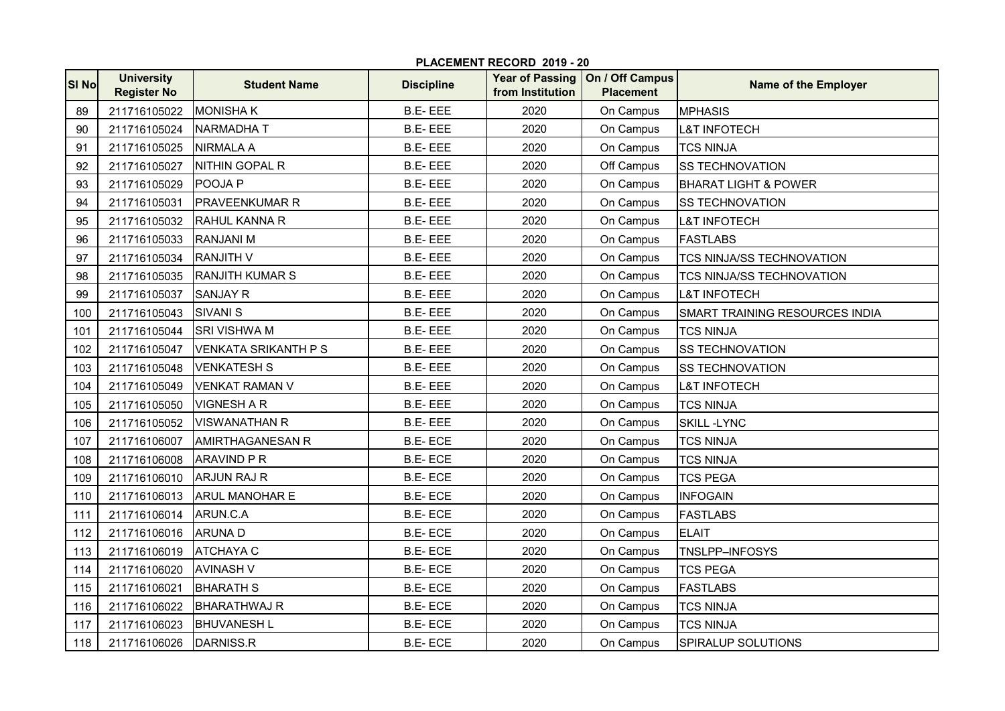| SI No | <b>University</b><br><b>Register No</b> | <b>Student Name</b>         | <b>Discipline</b> | from Institution | Year of Passing   On / Off Campus<br><b>Placement</b> | <b>Name of the Employer</b>      |
|-------|-----------------------------------------|-----------------------------|-------------------|------------------|-------------------------------------------------------|----------------------------------|
| 89    | 211716105022                            | <b>MONISHAK</b>             | <b>B.E-EEE</b>    | 2020             | On Campus                                             | <b>MPHASIS</b>                   |
| 90    | 211716105024                            | <b>NARMADHAT</b>            | <b>B.E-EEE</b>    | 2020             | On Campus                                             | <b>L&amp;T INFOTECH</b>          |
| 91    | 211716105025                            | <b>NIRMALA A</b>            | <b>B.E-EEE</b>    | 2020             | On Campus                                             | <b>TCS NINJA</b>                 |
| 92    | 211716105027                            | NITHIN GOPAL R              | <b>B.E-EEE</b>    | 2020             | Off Campus                                            | <b>SS TECHNOVATION</b>           |
| 93    | 211716105029                            | POOJA P                     | <b>B.E-EEE</b>    | 2020             | On Campus                                             | <b>BHARAT LIGHT &amp; POWER</b>  |
| 94    | 211716105031                            | <b>PRAVEENKUMAR R</b>       | <b>B.E-EEE</b>    | 2020             | On Campus                                             | <b>SS TECHNOVATION</b>           |
| 95    | 211716105032                            | <b>RAHUL KANNA R</b>        | <b>B.E-EEE</b>    | 2020             | On Campus                                             | <b>L&amp;T INFOTECH</b>          |
| 96    | 211716105033                            | <b>RANJANI M</b>            | <b>B.E-EEE</b>    | 2020             | On Campus                                             | <b>FASTLABS</b>                  |
| 97    | 211716105034                            | <b>RANJITH V</b>            | <b>B.E-EEE</b>    | 2020             | On Campus                                             | <b>TCS NINJA/SS TECHNOVATION</b> |
| 98    | 211716105035                            | <b>RANJITH KUMAR S</b>      | <b>B.E-EEE</b>    | 2020             | On Campus                                             | TCS NINJA/SS TECHNOVATION        |
| 99    | 211716105037                            | <b>SANJAY R</b>             | <b>B.E-EEE</b>    | 2020             | On Campus                                             | <b>L&amp;T INFOTECH</b>          |
| 100   | 211716105043                            | <b>SIVANI S</b>             | <b>B.E-EEE</b>    | 2020             | On Campus                                             | SMART TRAINING RESOURCES INDIA   |
| 101   | 211716105044                            | <b>SRI VISHWA M</b>         | <b>B.E-EEE</b>    | 2020             | On Campus                                             | <b>TCS NINJA</b>                 |
| 102   | 211716105047                            | <b>VENKATA SRIKANTH P S</b> | <b>B.E-EEE</b>    | 2020             | On Campus                                             | <b>SS TECHNOVATION</b>           |
| 103   | 211716105048                            | <b>VENKATESH S</b>          | <b>B.E-EEE</b>    | 2020             | On Campus                                             | <b>SS TECHNOVATION</b>           |
| 104   | 211716105049                            | VENKAT RAMAN V              | <b>B.E-EEE</b>    | 2020             | On Campus                                             | <b>L&amp;T INFOTECH</b>          |
| 105   | 211716105050                            | <b>VIGNESH A R</b>          | <b>B.E-EEE</b>    | 2020             | On Campus                                             | <b>TCS NINJA</b>                 |
| 106   | 211716105052                            | <b>VISWANATHAN R</b>        | <b>B.E-EEE</b>    | 2020             | On Campus                                             | <b>SKILL -LYNC</b>               |
| 107   | 211716106007                            | <b>AMIRTHAGANESAN R</b>     | <b>B.E-ECE</b>    | 2020             | On Campus                                             | <b>TCS NINJA</b>                 |
| 108   | 211716106008                            | <b>ARAVIND P R</b>          | <b>B.E-ECE</b>    | 2020             | On Campus                                             | <b>TCS NINJA</b>                 |
| 109   | 211716106010                            | <b>ARJUN RAJ R</b>          | <b>B.E-ECE</b>    | 2020             | On Campus                                             | <b>TCS PEGA</b>                  |
| 110   | 211716106013                            | <b>ARUL MANOHAR E</b>       | <b>B.E-ECE</b>    | 2020             | On Campus                                             | <b>INFOGAIN</b>                  |
| 111   | 211716106014                            | ARUN.C.A                    | <b>B.E-ECE</b>    | 2020             | On Campus                                             | <b>FASTLABS</b>                  |
| 112   | 211716106016                            | <b>ARUNAD</b>               | <b>B.E-ECE</b>    | 2020             | On Campus                                             | <b>ELAIT</b>                     |
| 113   | 211716106019                            | <b>ATCHAYA C</b>            | <b>B.E-ECE</b>    | 2020             | On Campus                                             | TNSLPP-INFOSYS                   |
| 114   | 211716106020                            | <b>AVINASH V</b>            | <b>B.E-ECE</b>    | 2020             | On Campus                                             | <b>TCS PEGA</b>                  |
| 115   | 211716106021                            | <b>BHARATH S</b>            | <b>B.E-ECE</b>    | 2020             | On Campus                                             | <b>FASTLABS</b>                  |
| 116   | 211716106022                            | <b>BHARATHWAJ R</b>         | <b>B.E-ECE</b>    | 2020             | On Campus                                             | <b>TCS NINJA</b>                 |
| 117   | 211716106023                            | <b>BHUVANESH L</b>          | <b>B.E-ECE</b>    | 2020             | On Campus                                             | <b>TCS NINJA</b>                 |
| 118   | 211716106026                            | DARNISS.R                   | <b>B.E-ECE</b>    | 2020             | On Campus                                             | <b>SPIRALUP SOLUTIONS</b>        |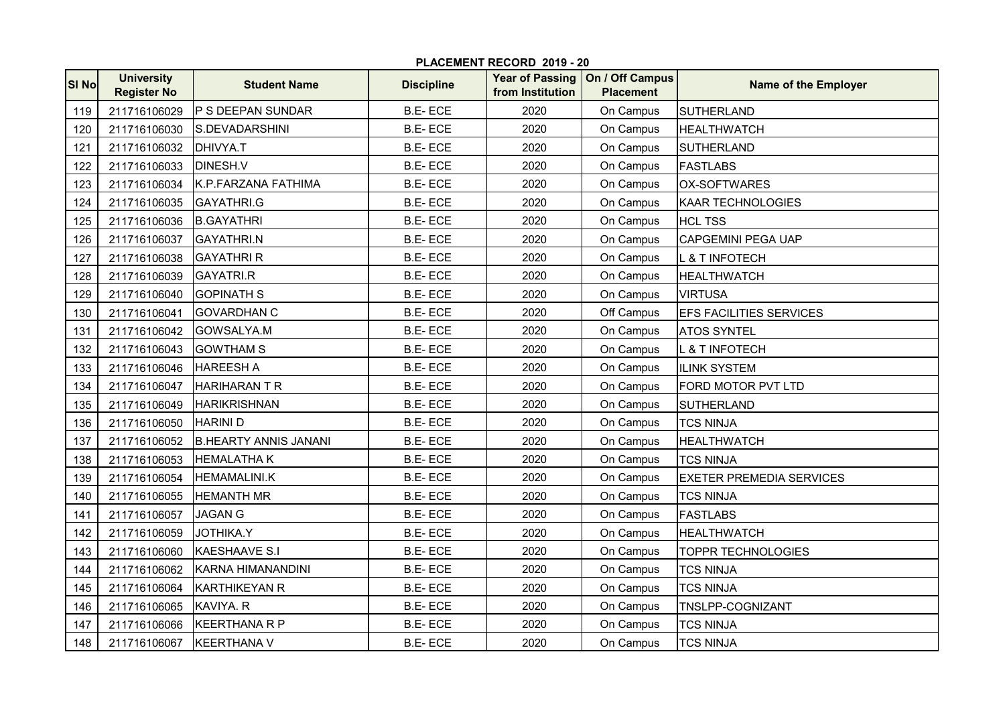|       | PLACEMENT RECORD 2019 - 20              |                              |                   |                  |                                                       |                                 |  |  |
|-------|-----------------------------------------|------------------------------|-------------------|------------------|-------------------------------------------------------|---------------------------------|--|--|
| SI No | <b>University</b><br><b>Register No</b> | <b>Student Name</b>          | <b>Discipline</b> | from Institution | Year of Passing   On / Off Campus<br><b>Placement</b> | Name of the Employer            |  |  |
| 119   | 211716106029                            | <b>P S DEEPAN SUNDAR</b>     | <b>B.E-ECE</b>    | 2020             | On Campus                                             | <b>SUTHERLAND</b>               |  |  |
| 120   | 211716106030                            | S.DEVADARSHINI               | <b>B.E-ECE</b>    | 2020             | On Campus                                             | <b>HEALTHWATCH</b>              |  |  |
| 121   | 211716106032                            | DHIVYA.T                     | <b>B.E-ECE</b>    | 2020             | On Campus                                             | <b>SUTHERLAND</b>               |  |  |
| 122   | 211716106033                            | <b>DINESH.V</b>              | <b>B.E-ECE</b>    | 2020             | On Campus                                             | <b>FASTLABS</b>                 |  |  |
| 123   | 211716106034                            | K.P.FARZANA FATHIMA          | <b>B.E-ECE</b>    | 2020             | On Campus                                             | <b>OX-SOFTWARES</b>             |  |  |
| 124   | 211716106035                            | GAYATHRI.G                   | <b>B.E-ECE</b>    | 2020             | On Campus                                             | <b>KAAR TECHNOLOGIES</b>        |  |  |
| 125   | 211716106036                            | <b>B.GAYATHRI</b>            | <b>B.E-ECE</b>    | 2020             | On Campus                                             | <b>HCL TSS</b>                  |  |  |
| 126   | 211716106037                            | <b>GAYATHRI.N</b>            | <b>B.E-ECE</b>    | 2020             | On Campus                                             | <b>CAPGEMINI PEGA UAP</b>       |  |  |
| 127   | 211716106038                            | <b>GAYATHRI R</b>            | <b>B.E-ECE</b>    | 2020             | On Campus                                             | <b>L &amp; T INFOTECH</b>       |  |  |
| 128   | 211716106039                            | <b>GAYATRI.R</b>             | <b>B.E-ECE</b>    | 2020             | On Campus                                             | <b>HEALTHWATCH</b>              |  |  |
| 129   | 211716106040                            | <b>GOPINATH S</b>            | <b>B.E-ECE</b>    | 2020             | On Campus                                             | <b>VIRTUSA</b>                  |  |  |
| 130   | 211716106041                            | <b>GOVARDHAN C</b>           | <b>B.E-ECE</b>    | 2020             | Off Campus                                            | <b>EFS FACILITIES SERVICES</b>  |  |  |
| 131   | 211716106042                            | GOWSALYA.M                   | <b>B.E-ECE</b>    | 2020             | On Campus                                             | <b>ATOS SYNTEL</b>              |  |  |
| 132   | 211716106043                            | <b>GOWTHAM S</b>             | <b>B.E-ECE</b>    | 2020             | On Campus                                             | <b>L &amp; T INFOTECH</b>       |  |  |
| 133   | 211716106046                            | <b>HAREESH A</b>             | <b>B.E-ECE</b>    | 2020             | On Campus                                             | <b>ILINK SYSTEM</b>             |  |  |
| 134   | 211716106047                            | <b>HARIHARAN T R</b>         | <b>B.E-ECE</b>    | 2020             | On Campus                                             | FORD MOTOR PVT LTD              |  |  |
| 135   | 211716106049                            | <b>HARIKRISHNAN</b>          | <b>B.E-ECE</b>    | 2020             | On Campus                                             | <b>SUTHERLAND</b>               |  |  |
| 136   | 211716106050                            | <b>HARINI D</b>              | <b>B.E-ECE</b>    | 2020             | On Campus                                             | <b>TCS NINJA</b>                |  |  |
| 137   | 211716106052                            | <b>B.HEARTY ANNIS JANANI</b> | <b>B.E-ECE</b>    | 2020             | On Campus                                             | <b>HEALTHWATCH</b>              |  |  |
| 138   | 211716106053                            | <b>HEMALATHAK</b>            | <b>B.E-ECE</b>    | 2020             | On Campus                                             | <b>TCS NINJA</b>                |  |  |
| 139   | 211716106054                            | <b>HEMAMALINI.K</b>          | <b>B.E-ECE</b>    | 2020             | On Campus                                             | <b>EXETER PREMEDIA SERVICES</b> |  |  |
| 140   | 211716106055                            | <b>HEMANTH MR</b>            | <b>B.E-ECE</b>    | 2020             | On Campus                                             | <b>TCS NINJA</b>                |  |  |
| 141   | 211716106057                            | <b>JAGAN G</b>               | <b>B.E-ECE</b>    | 2020             | On Campus                                             | <b>FASTLABS</b>                 |  |  |
| 142   | 211716106059                            | <b>JOTHIKA.Y</b>             | <b>B.E-ECE</b>    | 2020             | On Campus                                             | <b>HEALTHWATCH</b>              |  |  |
| 143   | 211716106060                            | <b>IKAESHAAVE S.I</b>        | <b>B.E-ECE</b>    | 2020             | On Campus                                             | <b>TOPPR TECHNOLOGIES</b>       |  |  |
| 144   | 211716106062                            | KARNA HIMANANDINI            | <b>B.E-ECE</b>    | 2020             | On Campus                                             | <b>TCS NINJA</b>                |  |  |
| 145   | 211716106064                            | <b>KARTHIKEYAN R</b>         | <b>B.E-ECE</b>    | 2020             | On Campus                                             | <b>TCS NINJA</b>                |  |  |
| 146   | 211716106065                            | <b>KAVIYA. R</b>             | <b>B.E-ECE</b>    | 2020             | On Campus                                             | TNSLPP-COGNIZANT                |  |  |
| 147   | 211716106066                            | <b>KEERTHANA R P</b>         | <b>B.E-ECE</b>    | 2020             | On Campus                                             | <b>TCS NINJA</b>                |  |  |
| 148   | 211716106067                            | KEERTHANA V                  | <b>B.E-ECE</b>    | 2020             | On Campus                                             | <b>TCS NINJA</b>                |  |  |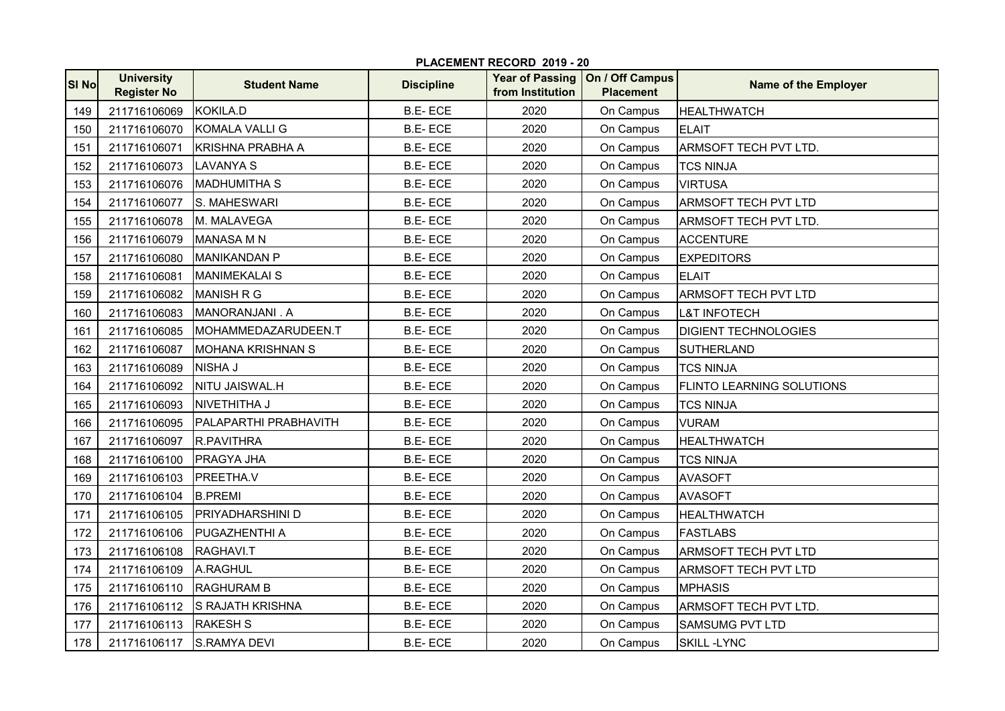|              | PLACEMENT RECORD 2019 - 20              |                          |                   |                  |                                                       |                              |  |  |
|--------------|-----------------------------------------|--------------------------|-------------------|------------------|-------------------------------------------------------|------------------------------|--|--|
| <b>SI No</b> | <b>University</b><br><b>Register No</b> | <b>Student Name</b>      | <b>Discipline</b> | from Institution | Year of Passing   On / Off Campus<br><b>Placement</b> | Name of the Employer         |  |  |
| 149          | 211716106069                            | <b>KOKILA.D</b>          | <b>B.E-ECE</b>    | 2020             | On Campus                                             | <b>HEALTHWATCH</b>           |  |  |
| 150          | 211716106070                            | KOMALA VALLI G           | <b>B.E-ECE</b>    | 2020             | On Campus                                             | <b>ELAIT</b>                 |  |  |
| 151          | 211716106071                            | <b>KRISHNA PRABHA A</b>  | <b>B.E-ECE</b>    | 2020             | On Campus                                             | <b>ARMSOFT TECH PVT LTD.</b> |  |  |
| 152          | 211716106073                            | <b>LAVANYA S</b>         | <b>B.E-ECE</b>    | 2020             | On Campus                                             | <b>TCS NINJA</b>             |  |  |
| 153          | 211716106076                            | <b>IMADHUMITHA S</b>     | <b>B.E-ECE</b>    | 2020             | On Campus                                             | <b>VIRTUSA</b>               |  |  |
| 154          | 211716106077                            | S. MAHESWARI             | <b>B.E-ECE</b>    | 2020             | On Campus                                             | <b>ARMSOFT TECH PVT LTD</b>  |  |  |
| 155          | 211716106078                            | M. MALAVEGA              | <b>B.E-ECE</b>    | 2020             | On Campus                                             | ARMSOFT TECH PVT LTD.        |  |  |
| 156          | 211716106079                            | <b>MANASA M N</b>        | <b>B.E-ECE</b>    | 2020             | On Campus                                             | <b>ACCENTURE</b>             |  |  |
| 157          | 211716106080                            | <b>MANIKANDAN P</b>      | <b>B.E-ECE</b>    | 2020             | On Campus                                             | <b>EXPEDITORS</b>            |  |  |
| 158          | 211716106081                            | IMANIMEKALAI S           | <b>B.E-ECE</b>    | 2020             | On Campus                                             | <b>ELAIT</b>                 |  |  |
| 159          | 211716106082                            | <b>MANISH R G</b>        | <b>B.E-ECE</b>    | 2020             | On Campus                                             | ARMSOFT TECH PVT LTD         |  |  |
| 160          | 211716106083                            | MANORANJANI . A          | <b>B.E-ECE</b>    | 2020             | On Campus                                             | <b>L&amp;T INFOTECH</b>      |  |  |
| 161          | 211716106085                            | MOHAMMEDAZARUDEEN.T      | <b>B.E-ECE</b>    | 2020             | On Campus                                             | <b>DIGIENT TECHNOLOGIES</b>  |  |  |
| 162          | 211716106087                            | <b>MOHANA KRISHNAN S</b> | <b>B.E-ECE</b>    | 2020             | On Campus                                             | <b>SUTHERLAND</b>            |  |  |
| 163          | 211716106089                            | <b>NISHA J</b>           | <b>B.E-ECE</b>    | 2020             | On Campus                                             | <b>TCS NINJA</b>             |  |  |
| 164          | 211716106092                            | NITU JAISWAL.H           | <b>B.E-ECE</b>    | 2020             | On Campus                                             | FLINTO LEARNING SOLUTIONS    |  |  |
| 165          | 211716106093                            | NIVETHITHA J             | <b>B.E-ECE</b>    | 2020             | On Campus                                             | <b>TCS NINJA</b>             |  |  |
| 166          | 211716106095                            | PALAPARTHI PRABHAVITH    | <b>B.E-ECE</b>    | 2020             | On Campus                                             | <b>VURAM</b>                 |  |  |
| 167          | 211716106097                            | R.PAVITHRA               | <b>B.E-ECE</b>    | 2020             | On Campus                                             | <b>HEALTHWATCH</b>           |  |  |
| 168          | 211716106100                            | <b>PRAGYA JHA</b>        | <b>B.E-ECE</b>    | 2020             | On Campus                                             | <b>TCS NINJA</b>             |  |  |
| 169          | 211716106103                            | PREETHA.V                | <b>B.E-ECE</b>    | 2020             | On Campus                                             | <b>AVASOFT</b>               |  |  |
| 170          | 211716106104                            | <b>B.PREMI</b>           | <b>B.E-ECE</b>    | 2020             | On Campus                                             | <b>AVASOFT</b>               |  |  |
| 171          | 211716106105                            | <b>PRIYADHARSHINI D</b>  | <b>B.E-ECE</b>    | 2020             | On Campus                                             | <b>HEALTHWATCH</b>           |  |  |
| 172          | 211716106106                            | <b>PUGAZHENTHI A</b>     | <b>B.E-ECE</b>    | 2020             | On Campus                                             | <b>FASTLABS</b>              |  |  |
| 173          | 211716106108                            | RAGHAVI.T                | <b>B.E-ECE</b>    | 2020             | On Campus                                             | <b>ARMSOFT TECH PVT LTD</b>  |  |  |
| 174          | 211716106109                            | A.RAGHUL                 | <b>B.E-ECE</b>    | 2020             | On Campus                                             | <b>ARMSOFT TECH PVT LTD</b>  |  |  |
| 175          | 211716106110                            | <b>RAGHURAM B</b>        | <b>B.E-ECE</b>    | 2020             | On Campus                                             | <b>MPHASIS</b>               |  |  |
| 176          | 211716106112                            | <b>S RAJATH KRISHNA</b>  | <b>B.E-ECE</b>    | 2020             | On Campus                                             | ARMSOFT TECH PVT LTD.        |  |  |
| 177          | 211716106113                            | <b>RAKESH S</b>          | <b>B.E-ECE</b>    | 2020             | On Campus                                             | <b>SAMSUMG PVT LTD</b>       |  |  |
| 178          | 211716106117                            | <b>S.RAMYA DEVI</b>      | <b>B.E-ECE</b>    | 2020             | On Campus                                             | <b>SKILL -LYNC</b>           |  |  |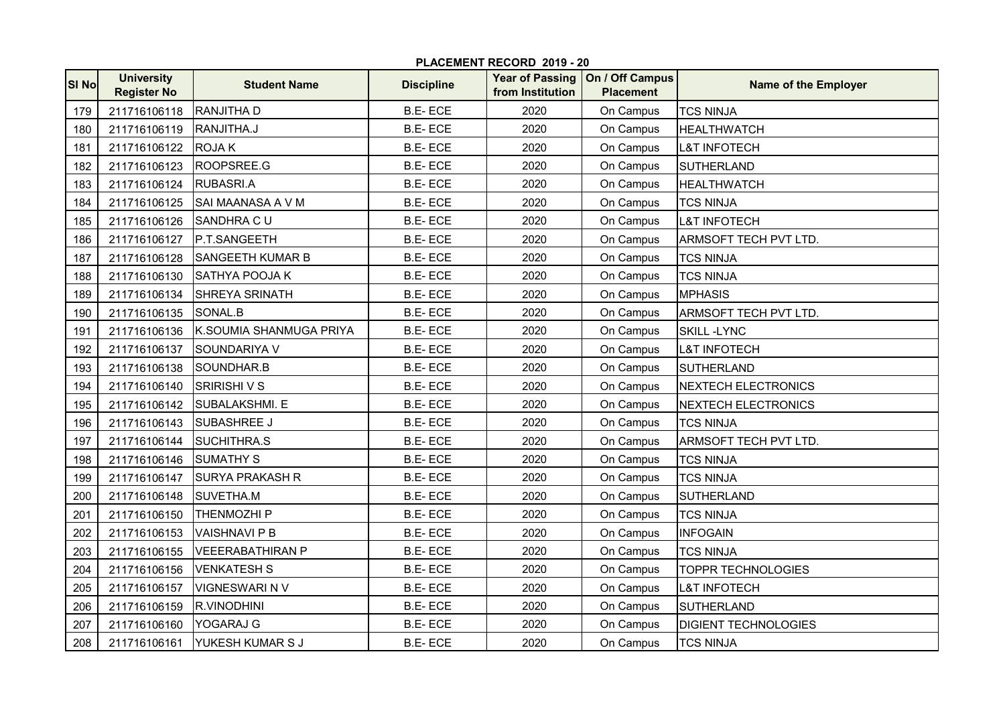| <b>SI No</b> | <b>University</b><br><b>Register No</b> | <b>Student Name</b>     | <b>Discipline</b> | <b>Year of Passing</b><br>from Institution | On / Off Campus<br><b>Placement</b> | <b>Name of the Employer</b> |
|--------------|-----------------------------------------|-------------------------|-------------------|--------------------------------------------|-------------------------------------|-----------------------------|
| 179          | 211716106118                            | <b>RANJITHA D</b>       | <b>B.E-ECE</b>    | 2020                                       | On Campus                           | <b>TCS NINJA</b>            |
| 180          | 211716106119                            | RANJITHA.J              | <b>B.E-ECE</b>    | 2020                                       | On Campus                           | <b>HEALTHWATCH</b>          |
| 181          | 211716106122                            | <b>ROJAK</b>            | <b>B.E-ECE</b>    | 2020                                       | On Campus                           | <b>L&amp;T INFOTECH</b>     |
| 182          | 211716106123                            | ROOPSREE.G              | <b>B.E-ECE</b>    | 2020                                       | On Campus                           | SUTHERLAND                  |
| 183          | 211716106124                            | RUBASRI.A               | <b>B.E-ECE</b>    | 2020                                       | On Campus                           | <b>HEALTHWATCH</b>          |
| 184          | 211716106125                            | SAI MAANASA A V M       | <b>B.E-ECE</b>    | 2020                                       | On Campus                           | <b>TCS NINJA</b>            |
| 185          | 211716106126                            | SANDHRA CU              | <b>B.E-ECE</b>    | 2020                                       | On Campus                           | <b>L&amp;T INFOTECH</b>     |
| 186          | 211716106127                            | P.T.SANGEETH            | <b>B.E-ECE</b>    | 2020                                       | On Campus                           | ARMSOFT TECH PVT LTD.       |
| 187          | 211716106128                            | <b>SANGEETH KUMAR B</b> | <b>B.E-ECE</b>    | 2020                                       | On Campus                           | <b>TCS NINJA</b>            |
| 188          | 211716106130                            | <b>SATHYA POOJA K</b>   | <b>B.E-ECE</b>    | 2020                                       | On Campus                           | <b>TCS NINJA</b>            |
| 189          | 211716106134                            | <b>SHREYA SRINATH</b>   | <b>B.E-ECE</b>    | 2020                                       | On Campus                           | <b>MPHASIS</b>              |
| 190          | 211716106135                            | SONAL.B                 | <b>B.E-ECE</b>    | 2020                                       | On Campus                           | <b>ARMSOFT TECH PVT LTD</b> |
| 191          | 211716106136                            | K.SOUMIA SHANMUGA PRIYA | <b>B.E-ECE</b>    | 2020                                       | On Campus                           | <b>SKILL -LYNC</b>          |
| 192          | 211716106137                            | SOUNDARIYA V            | <b>B.E-ECE</b>    | 2020                                       | On Campus                           | <b>L&amp;T INFOTECH</b>     |
| 193          | 211716106138                            | SOUNDHAR.B              | <b>B.E-ECE</b>    | 2020                                       | On Campus                           | <b>SUTHERLAND</b>           |
| 194          | 211716106140                            | <b>SRIRISHIVS</b>       | <b>B.E-ECE</b>    | 2020                                       | On Campus                           | <b>NEXTECH ELECTRONICS</b>  |
| 195          | 211716106142                            | <b>SUBALAKSHMI. E</b>   | <b>B.E-ECE</b>    | 2020                                       | On Campus                           | <b>NEXTECH ELECTRONICS</b>  |
| 196          | 211716106143                            | <b>SUBASHREE J</b>      | <b>B.E-ECE</b>    | 2020                                       | On Campus                           | <b>TCS NINJA</b>            |
| 197          | 211716106144                            | SUCHITHRA.S             | <b>B.E-ECE</b>    | 2020                                       | On Campus                           | ARMSOFT TECH PVT LTD.       |
| 198          | 211716106146                            | <b>SUMATHY S</b>        | <b>B.E-ECE</b>    | 2020                                       | On Campus                           | <b>TCS NINJA</b>            |
| 199          | 211716106147                            | <b>SURYA PRAKASH R</b>  | <b>B.E-ECE</b>    | 2020                                       | On Campus                           | <b>TCS NINJA</b>            |
| 200          | 211716106148                            | SUVETHA.M               | <b>B.E-ECE</b>    | 2020                                       | On Campus                           | <b>SUTHERLAND</b>           |
| 201          | 211716106150                            | <b>THENMOZHIP</b>       | <b>B.E-ECE</b>    | 2020                                       | On Campus                           | <b>TCS NINJA</b>            |
| 202          | 211716106153                            | <b>VAISHNAVI P B</b>    | <b>B.E-ECE</b>    | 2020                                       | On Campus                           | <b>INFOGAIN</b>             |
| 203          | 211716106155                            | <b>VEEERABATHIRAN P</b> | <b>B.E-ECE</b>    | 2020                                       | On Campus                           | <b>TCS NINJA</b>            |
| 204          | 211716106156                            | <b>VENKATESH S</b>      | <b>B.E-ECE</b>    | 2020                                       | On Campus                           | <b>TOPPR TECHNOLOGIES</b>   |
| 205          | 211716106157                            | <b>VIGNESWARI N V</b>   | <b>B.E-ECE</b>    | 2020                                       | On Campus                           | <b>L&amp;T INFOTECH</b>     |
| 206          | 211716106159                            | <b>R.VINODHINI</b>      | <b>B.E-ECE</b>    | 2020                                       | On Campus                           | <b>SUTHERLAND</b>           |
| 207          | 211716106160                            | YOGARAJ G               | <b>B.E-ECE</b>    | 2020                                       | On Campus                           | <b>DIGIENT TECHNOLOGIES</b> |
| 208          | 211716106161                            | YUKESH KUMAR S J        | <b>B.E-ECE</b>    | 2020                                       | On Campus                           | <b>TCS NINJA</b>            |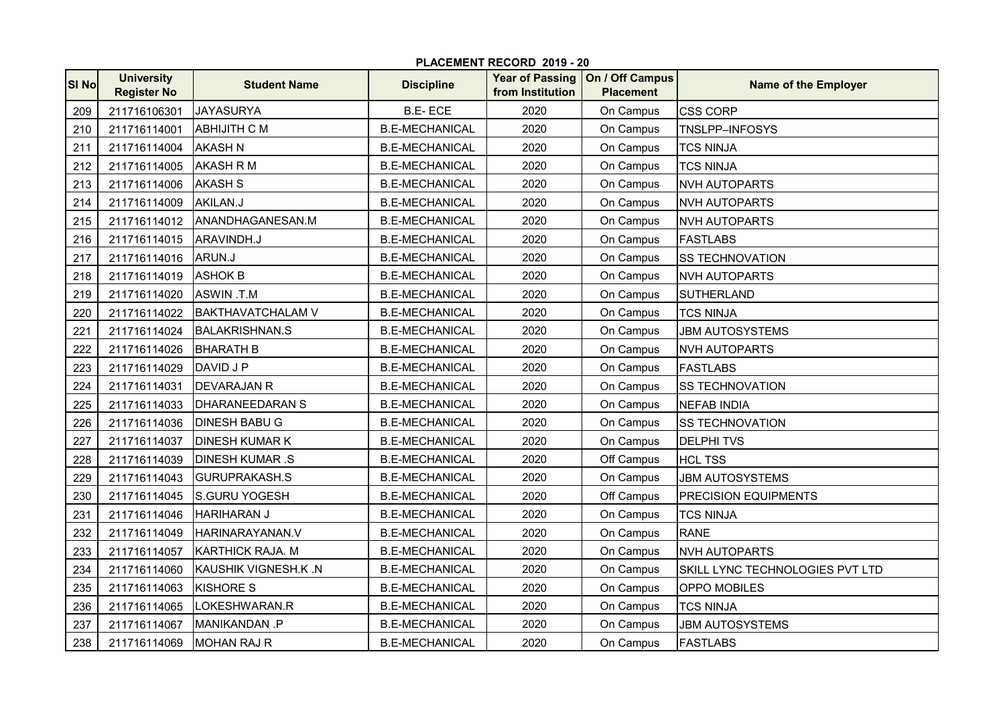|              | PLACEMENT RECORD 2019 - 20              |                          |                       |                                            |                                     |                                 |  |  |
|--------------|-----------------------------------------|--------------------------|-----------------------|--------------------------------------------|-------------------------------------|---------------------------------|--|--|
| <b>SI No</b> | <b>University</b><br><b>Register No</b> | <b>Student Name</b>      | <b>Discipline</b>     | <b>Year of Passing</b><br>from Institution | On / Off Campus<br><b>Placement</b> | <b>Name of the Employer</b>     |  |  |
| 209          | 211716106301                            | <b>JAYASURYA</b>         | <b>B.E-ECE</b>        | 2020                                       | On Campus                           | <b>CSS CORP</b>                 |  |  |
| 210          | 211716114001                            | <b>ABHIJITH C M</b>      | <b>B.E-MECHANICAL</b> | 2020                                       | On Campus                           | TNSLPP-INFOSYS                  |  |  |
| 211          | 211716114004                            | <b>AKASH N</b>           | <b>B.E-MECHANICAL</b> | 2020                                       | On Campus                           | <b>TCS NINJA</b>                |  |  |
| 212          | 211716114005                            | <b>AKASH R M</b>         | <b>B.E-MECHANICAL</b> | 2020                                       | On Campus                           | <b>TCS NINJA</b>                |  |  |
| 213          | 211716114006                            | <b>AKASH S</b>           | <b>B.E-MECHANICAL</b> | 2020                                       | On Campus                           | <b>NVH AUTOPARTS</b>            |  |  |
| 214          | 211716114009                            | AKILAN.J                 | <b>B.E-MECHANICAL</b> | 2020                                       | On Campus                           | <b>NVH AUTOPARTS</b>            |  |  |
| 215          | 211716114012                            | ANANDHAGANESAN.M         | <b>B.E-MECHANICAL</b> | 2020                                       | On Campus                           | <b>NVH AUTOPARTS</b>            |  |  |
| 216          | 211716114015                            | ARAVINDH.J               | <b>B.E-MECHANICAL</b> | 2020                                       | On Campus                           | <b>FASTLABS</b>                 |  |  |
| 217          | 211716114016                            | ARUN.J                   | <b>B.E-MECHANICAL</b> | 2020                                       | On Campus                           | <b>SS TECHNOVATION</b>          |  |  |
| 218          | 211716114019                            | <b>ASHOK B</b>           | <b>B.E-MECHANICAL</b> | 2020                                       | On Campus                           | <b>NVH AUTOPARTS</b>            |  |  |
| 219          | 211716114020                            | ASWIN.T.M                | <b>B.E-MECHANICAL</b> | 2020                                       | On Campus                           | <b>SUTHERLAND</b>               |  |  |
| 220          | 211716114022                            | <b>BAKTHAVATCHALAM V</b> | <b>B.E-MECHANICAL</b> | 2020                                       | On Campus                           | <b>TCS NINJA</b>                |  |  |
| 221          | 211716114024                            | <b>BALAKRISHNAN.S</b>    | <b>B.E-MECHANICAL</b> | 2020                                       | On Campus                           | <b>JBM AUTOSYSTEMS</b>          |  |  |
| 222          | 211716114026                            | <b>BHARATH B</b>         | <b>B.E-MECHANICAL</b> | 2020                                       | On Campus                           | <b>NVH AUTOPARTS</b>            |  |  |
| 223          | 211716114029                            | DAVID J P                | <b>B.E-MECHANICAL</b> | 2020                                       | On Campus                           | <b>FASTLABS</b>                 |  |  |
| 224          | 211716114031                            | <b>DEVARAJAN R</b>       | <b>B.E-MECHANICAL</b> | 2020                                       | On Campus                           | <b>SS TECHNOVATION</b>          |  |  |
| 225          | 211716114033                            | <b>DHARANEEDARAN S</b>   | <b>B.E-MECHANICAL</b> | 2020                                       | On Campus                           | <b>NEFAB INDIA</b>              |  |  |
| 226          | 211716114036                            | <b>DINESH BABU G</b>     | <b>B.E-MECHANICAL</b> | 2020                                       | On Campus                           | <b>SS TECHNOVATION</b>          |  |  |
| 227          | 211716114037                            | <b>DINESH KUMAR K</b>    | <b>B.E-MECHANICAL</b> | 2020                                       | On Campus                           | <b>DELPHITVS</b>                |  |  |
| 228          | 211716114039                            | <b>DINESH KUMAR .S</b>   | <b>B.E-MECHANICAL</b> | 2020                                       | Off Campus                          | <b>HCL TSS</b>                  |  |  |
| 229          | 211716114043                            | <b>GURUPRAKASH.S</b>     | <b>B.E-MECHANICAL</b> | 2020                                       | On Campus                           | <b>JBM AUTOSYSTEMS</b>          |  |  |
| 230          | 211716114045                            | S.GURU YOGESH            | <b>B.E-MECHANICAL</b> | 2020                                       | Off Campus                          | <b>PRECISION EQUIPMENTS</b>     |  |  |
| 231          | 211716114046                            | <b>HARIHARAN J</b>       | <b>B.E-MECHANICAL</b> | 2020                                       | On Campus                           | <b>TCS NINJA</b>                |  |  |
| 232          | 211716114049                            | HARINARAYANAN.V          | <b>B.E-MECHANICAL</b> | 2020                                       | On Campus                           | <b>RANE</b>                     |  |  |
| 233          | 211716114057                            | <b>KARTHICK RAJA. M</b>  | <b>B.E-MECHANICAL</b> | 2020                                       | On Campus                           | <b>NVH AUTOPARTS</b>            |  |  |
| 234          | 211716114060                            | KAUSHIK VIGNESH.K.N      | <b>B.E-MECHANICAL</b> | 2020                                       | On Campus                           | SKILL LYNC TECHNOLOGIES PVT LTD |  |  |
| 235          | 211716114063                            | <b>KISHORE S</b>         | <b>B.E-MECHANICAL</b> | 2020                                       | On Campus                           | OPPO MOBILES                    |  |  |
| 236          | 211716114065                            | LOKESHWARAN.R            | <b>B.E-MECHANICAL</b> | 2020                                       | On Campus                           | <b>TCS NINJA</b>                |  |  |
| 237          | 211716114067                            | MANIKANDAN .P            | <b>B.E-MECHANICAL</b> | 2020                                       | On Campus                           | <b>JBM AUTOSYSTEMS</b>          |  |  |
| 238          | 211716114069                            | <b>MOHAN RAJ R</b>       | <b>B.E-MECHANICAL</b> | 2020                                       | On Campus                           | <b>FASTLABS</b>                 |  |  |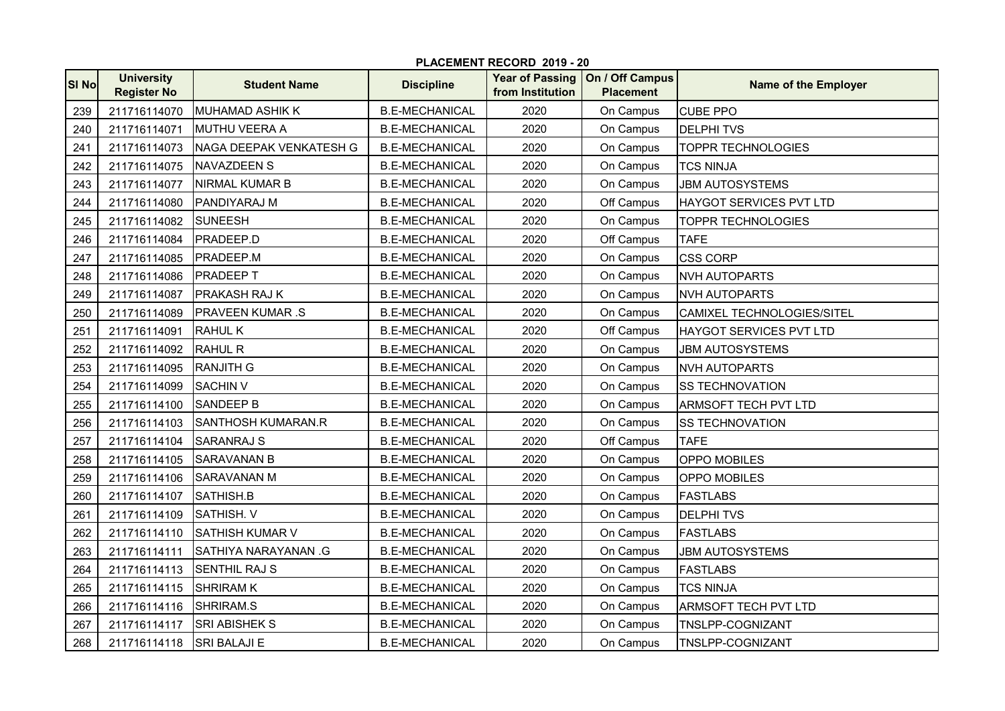| <b>SI No</b> | <b>University</b><br><b>Register No</b> | <b>Student Name</b>       | <b>Discipline</b>     | from Institution | Year of Passing   On / Off Campus<br><b>Placement</b> | Name of the Employer           |
|--------------|-----------------------------------------|---------------------------|-----------------------|------------------|-------------------------------------------------------|--------------------------------|
| 239          | 211716114070                            | <b>MUHAMAD ASHIK K</b>    | <b>B.E-MECHANICAL</b> | 2020             | On Campus                                             | <b>CUBE PPO</b>                |
| 240          | 211716114071                            | <b>MUTHU VEERA A</b>      | <b>B.E-MECHANICAL</b> | 2020             | On Campus                                             | <b>DELPHITVS</b>               |
| 241          | 211716114073                            | NAGA DEEPAK VENKATESH G   | <b>B.E-MECHANICAL</b> | 2020             | On Campus                                             | <b>TOPPR TECHNOLOGIES</b>      |
| 242          | 211716114075                            | <b>NAVAZDEEN S</b>        | <b>B.E-MECHANICAL</b> | 2020             | On Campus                                             | <b>TCS NINJA</b>               |
| 243          | 211716114077                            | <b>NIRMAL KUMAR B</b>     | <b>B.E-MECHANICAL</b> | 2020             | On Campus                                             | <b>JBM AUTOSYSTEMS</b>         |
| 244          | 211716114080                            | PANDIYARAJ M              | <b>B.E-MECHANICAL</b> | 2020             | Off Campus                                            | <b>HAYGOT SERVICES PVT LTD</b> |
| 245          | 211716114082                            | <b>SUNEESH</b>            | <b>B.E-MECHANICAL</b> | 2020             | On Campus                                             | <b>TOPPR TECHNOLOGIES</b>      |
| 246          | 211716114084                            | PRADEEP.D                 | <b>B.E-MECHANICAL</b> | 2020             | Off Campus                                            | <b>TAFE</b>                    |
| 247          | 211716114085                            | <b>PRADEEP.M</b>          | <b>B.E-MECHANICAL</b> | 2020             | On Campus                                             | <b>CSS CORP</b>                |
| 248          | 211716114086                            | <b>PRADEEPT</b>           | <b>B.E-MECHANICAL</b> | 2020             | On Campus                                             | <b>NVH AUTOPARTS</b>           |
| 249          | 211716114087                            | PRAKASH RAJ K             | <b>B.E-MECHANICAL</b> | 2020             | On Campus                                             | <b>NVH AUTOPARTS</b>           |
| 250          | 211716114089                            | <b>PRAVEEN KUMAR .S</b>   | <b>B.E-MECHANICAL</b> | 2020             | On Campus                                             | CAMIXEL TECHNOLOGIES/SITEL     |
| 251          | 211716114091                            | <b>RAHUL K</b>            | <b>B.E-MECHANICAL</b> | 2020             | Off Campus                                            | HAYGOT SERVICES PVT LTD        |
| 252          | 211716114092                            | <b>RAHUL R</b>            | <b>B.E-MECHANICAL</b> | 2020             | On Campus                                             | <b>JBM AUTOSYSTEMS</b>         |
| 253          | 211716114095                            | <b>RANJITH G</b>          | <b>B.E-MECHANICAL</b> | 2020             | On Campus                                             | <b>NVH AUTOPARTS</b>           |
| 254          | 211716114099                            | <b>SACHIN V</b>           | <b>B.E-MECHANICAL</b> | 2020             | On Campus                                             | <b>SS TECHNOVATION</b>         |
| 255          | 211716114100                            | <b>SANDEEP B</b>          | <b>B.E-MECHANICAL</b> | 2020             | On Campus                                             | <b>ARMSOFT TECH PVT LTD</b>    |
| 256          | 211716114103                            | <b>SANTHOSH KUMARAN.R</b> | <b>B.E-MECHANICAL</b> | 2020             | On Campus                                             | <b>SS TECHNOVATION</b>         |
| 257          | 211716114104                            | <b>SARANRAJ S</b>         | <b>B.E-MECHANICAL</b> | 2020             | Off Campus                                            | <b>TAFE</b>                    |
| 258          | 211716114105                            | <b>SARAVANAN B</b>        | <b>B.E-MECHANICAL</b> | 2020             | On Campus                                             | OPPO MOBILES                   |
| 259          | 211716114106                            | <b>SARAVANAN M</b>        | <b>B.E-MECHANICAL</b> | 2020             | On Campus                                             | OPPO MOBILES                   |
| 260          | 211716114107                            | SATHISH.B                 | <b>B.E-MECHANICAL</b> | 2020             | On Campus                                             | <b>FASTLABS</b>                |
| 261          | 211716114109                            | SATHISH. V                | <b>B.E-MECHANICAL</b> | 2020             | On Campus                                             | <b>DELPHITVS</b>               |
| 262          | 211716114110                            | <b>SATHISH KUMAR V</b>    | <b>B.E-MECHANICAL</b> | 2020             | On Campus                                             | <b>FASTLABS</b>                |
| 263          | 211716114111                            | SATHIYA NARAYANAN .G      | <b>B.E-MECHANICAL</b> | 2020             | On Campus                                             | <b>JBM AUTOSYSTEMS</b>         |
| 264          | 211716114113                            | <b>SENTHIL RAJ S</b>      | <b>B.E-MECHANICAL</b> | 2020             | On Campus                                             | <b>FASTLABS</b>                |
| 265          | 211716114115                            | <b>SHRIRAM K</b>          | <b>B.E-MECHANICAL</b> | 2020             | On Campus                                             | <b>TCS NINJA</b>               |
| 266          | 211716114116                            | SHRIRAM.S                 | <b>B.E-MECHANICAL</b> | 2020             | On Campus                                             | <b>ARMSOFT TECH PVT LTD</b>    |
| 267          | 211716114117                            | <b>SRI ABISHEK S</b>      | <b>B.E-MECHANICAL</b> | 2020             | On Campus                                             | TNSLPP-COGNIZANT               |
| 268          | 211716114118                            | <b>SRI BALAJI E</b>       | <b>B.E-MECHANICAL</b> | 2020             | On Campus                                             | <b>TNSLPP-COGNIZANT</b>        |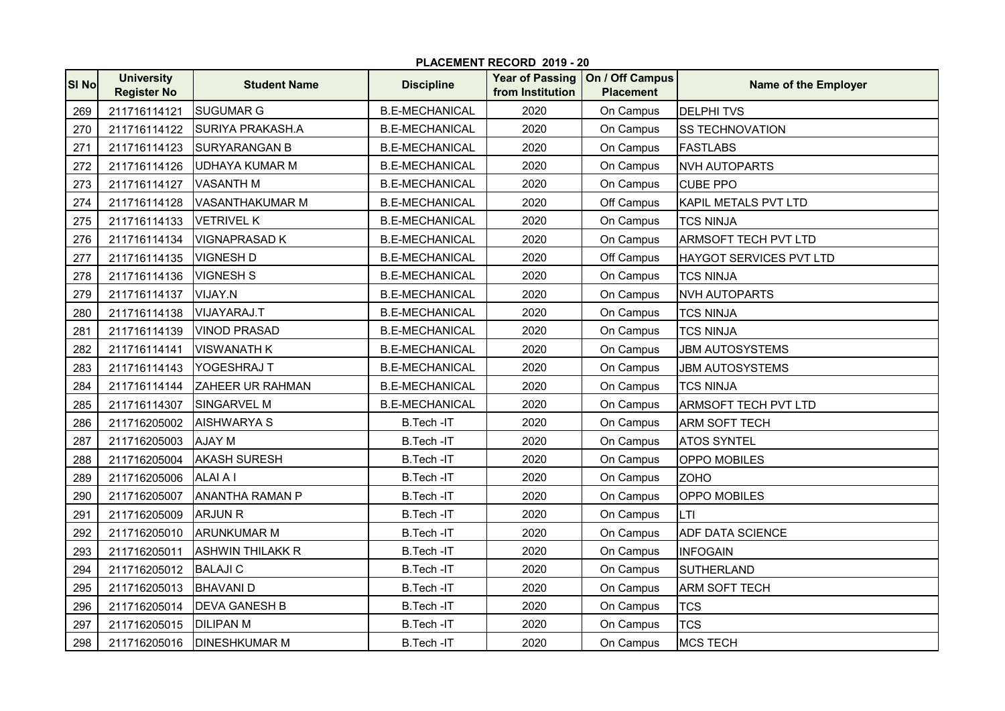|       | PLACEMENT RECORD 2019 - 20              |                         |                       |                                            |                                     |                             |  |  |
|-------|-----------------------------------------|-------------------------|-----------------------|--------------------------------------------|-------------------------------------|-----------------------------|--|--|
| SI No | <b>University</b><br><b>Register No</b> | <b>Student Name</b>     | <b>Discipline</b>     | <b>Year of Passing</b><br>from Institution | On / Off Campus<br><b>Placement</b> | <b>Name of the Employer</b> |  |  |
| 269   | 211716114121                            | <b>SUGUMAR G</b>        | <b>B.E-MECHANICAL</b> | 2020                                       | On Campus                           | <b>DELPHITVS</b>            |  |  |
| 270   | 211716114122                            | <b>SURIYA PRAKASH.A</b> | <b>B.E-MECHANICAL</b> | 2020                                       | On Campus                           | <b>SS TECHNOVATION</b>      |  |  |
| 271   | 211716114123                            | <b>SURYARANGAN B</b>    | <b>B.E-MECHANICAL</b> | 2020                                       | On Campus                           | <b>FASTLABS</b>             |  |  |
| 272   | 211716114126                            | <b>UDHAYA KUMAR M</b>   | <b>B.E-MECHANICAL</b> | 2020                                       | On Campus                           | <b>NVH AUTOPARTS</b>        |  |  |
| 273   | 211716114127                            | <b>VASANTH M</b>        | <b>B.E-MECHANICAL</b> | 2020                                       | On Campus                           | <b>CUBE PPO</b>             |  |  |
| 274   | 211716114128                            | VASANTHAKUMAR M         | <b>B.E-MECHANICAL</b> | 2020                                       | Off Campus                          | KAPIL METALS PVT LTD        |  |  |
| 275   | 211716114133                            | <b>VETRIVEL K</b>       | <b>B.E-MECHANICAL</b> | 2020                                       | On Campus                           | <b>TCS NINJA</b>            |  |  |
| 276   | 211716114134                            | <b>VIGNAPRASAD K</b>    | <b>B.E-MECHANICAL</b> | 2020                                       | On Campus                           | <b>ARMSOFT TECH PVT LTD</b> |  |  |
| 277   | 211716114135                            | <b>VIGNESH D</b>        | <b>B.E-MECHANICAL</b> | 2020                                       | Off Campus                          | HAYGOT SERVICES PVT LTD     |  |  |
| 278   | 211716114136                            | <b>VIGNESH S</b>        | <b>B.E-MECHANICAL</b> | 2020                                       | On Campus                           | <b>TCS NINJA</b>            |  |  |
| 279   | 211716114137                            | VIJAY.N                 | <b>B.E-MECHANICAL</b> | 2020                                       | On Campus                           | <b>NVH AUTOPARTS</b>        |  |  |
| 280   | 211716114138                            | VIJAYARAJ.T             | <b>B.E-MECHANICAL</b> | 2020                                       | On Campus                           | <b>TCS NINJA</b>            |  |  |
| 281   | 211716114139                            | <b>VINOD PRASAD</b>     | <b>B.E-MECHANICAL</b> | 2020                                       | On Campus                           | <b>TCS NINJA</b>            |  |  |
| 282   | 211716114141                            | <b>VISWANATH K</b>      | <b>B.E-MECHANICAL</b> | 2020                                       | On Campus                           | <b>JBM AUTOSYSTEMS</b>      |  |  |
| 283   | 211716114143                            | YOGESHRAJ T             | <b>B.E-MECHANICAL</b> | 2020                                       | On Campus                           | <b>JBM AUTOSYSTEMS</b>      |  |  |
| 284   | 211716114144                            | <b>ZAHEER UR RAHMAN</b> | <b>B.E-MECHANICAL</b> | 2020                                       | On Campus                           | <b>TCS NINJA</b>            |  |  |
| 285   | 211716114307                            | <b>SINGARVEL M</b>      | <b>B.E-MECHANICAL</b> | 2020                                       | On Campus                           | <b>ARMSOFT TECH PVT LTD</b> |  |  |
| 286   | 211716205002                            | <b>AISHWARYA S</b>      | B.Tech-IT             | 2020                                       | On Campus                           | <b>ARM SOFT TECH</b>        |  |  |
| 287   | 211716205003                            | <b>AJAY M</b>           | B.Tech-IT             | 2020                                       | On Campus                           | <b>ATOS SYNTEL</b>          |  |  |
| 288   | 211716205004                            | <b>AKASH SURESH</b>     | B.Tech-IT             | 2020                                       | On Campus                           | OPPO MOBILES                |  |  |
| 289   | 211716205006                            | <b>ALAI A I</b>         | B.Tech-IT             | 2020                                       | On Campus                           | <b>ZOHO</b>                 |  |  |
| 290   | 211716205007                            | <b>ANANTHA RAMAN P</b>  | B.Tech-IT             | 2020                                       | On Campus                           | <b>OPPO MOBILES</b>         |  |  |
| 291   | 211716205009                            | <b>ARJUN R</b>          | B.Tech-IT             | 2020                                       | On Campus                           | LTI                         |  |  |
| 292   | 211716205010                            | <b>ARUNKUMAR M</b>      | <b>B.Tech-IT</b>      | 2020                                       | On Campus                           | <b>ADF DATA SCIENCE</b>     |  |  |
| 293   | 211716205011                            | <b>ASHWIN THILAKK R</b> | B.Tech-IT             | 2020                                       | On Campus                           | <b>INFOGAIN</b>             |  |  |
| 294   | 211716205012                            | <b>BALAJI C</b>         | B.Tech-IT             | 2020                                       | On Campus                           | <b>SUTHERLAND</b>           |  |  |
| 295   | 211716205013                            | <b>BHAVANID</b>         | B.Tech-IT             | 2020                                       | On Campus                           | ARM SOFT TECH               |  |  |
| 296   | 211716205014                            | <b>DEVA GANESH B</b>    | B.Tech-IT             | 2020                                       | On Campus                           | <b>TCS</b>                  |  |  |
| 297   | 211716205015                            | <b>DILIPAN M</b>        | B.Tech-IT             | 2020                                       | On Campus                           | <b>TCS</b>                  |  |  |
| 298   | 211716205016                            | <b>DINESHKUMAR M</b>    | B.Tech-IT             | 2020                                       | On Campus                           | <b>MCS TECH</b>             |  |  |